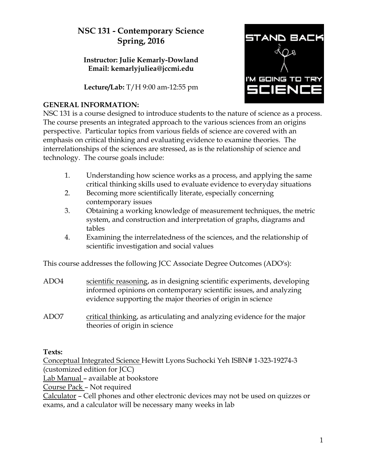# **NSC 131 - Contemporary Science Spring, 2016**

## **Instructor: Julie Kemarly-Dowland Email: kemarlyjuliea@jccmi.edu**

**Lecture/Lab:** T/H 9:00 am-12:55 pm



#### **GENERAL INFORMATION:**

NSC 131 is a course designed to introduce students to the nature of science as a process. The course presents an integrated approach to the various sciences from an origins perspective. Particular topics from various fields of science are covered with an emphasis on critical thinking and evaluating evidence to examine theories. The interrelationships of the sciences are stressed, as is the relationship of science and technology. The course goals include:

- 1. Understanding how science works as a process, and applying the same critical thinking skills used to evaluate evidence to everyday situations
- 2. Becoming more scientifically literate, especially concerning contemporary issues
- 3. Obtaining a working knowledge of measurement techniques, the metric system, and construction and interpretation of graphs, diagrams and tables
- 4. Examining the interrelatedness of the sciences, and the relationship of scientific investigation and social values

This course addresses the following JCC Associate Degree Outcomes (ADO's):

- ADO4 scientific reasoning, as in designing scientific experiments, developing informed opinions on contemporary scientific issues, and analyzing evidence supporting the major theories of origin in science
- ADO7 critical thinking, as articulating and analyzing evidence for the major theories of origin in science

## **Texts:**

Conceptual Integrated Science Hewitt Lyons Suchocki Yeh ISBN# 1-323-19274-3 (customized edition for JCC) Lab Manual – available at bookstore Course Pack – Not required Calculator – Cell phones and other electronic devices may not be used on quizzes or exams, and a calculator will be necessary many weeks in lab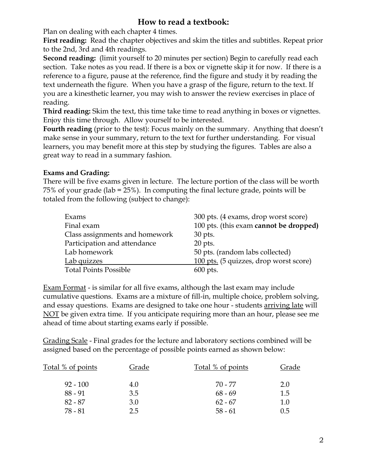# **How to read a textbook:**

Plan on dealing with each chapter 4 times.

**First reading:** Read the chapter objectives and skim the titles and subtitles. Repeat prior to the 2nd, 3rd and 4th readings.

**Second reading:** (limit yourself to 20 minutes per section) Begin to carefully read each section. Take notes as you read. If there is a box or vignette skip it for now. If there is a reference to a figure, pause at the reference, find the figure and study it by reading the text underneath the figure. When you have a grasp of the figure, return to the text. If you are a kinesthetic learner, you may wish to answer the review exercises in place of reading.

**Third reading:** Skim the text, this time take time to read anything in boxes or vignettes. Enjoy this time through. Allow yourself to be interested.

**Fourth reading** (prior to the test): Focus mainly on the summary. Anything that doesn't make sense in your summary, return to the text for further understanding. For visual learners, you may benefit more at this step by studying the figures. Tables are also a great way to read in a summary fashion.

## **Exams and Grading:**

There will be five exams given in lecture. The lecture portion of the class will be worth 75% of your grade (lab = 25%). In computing the final lecture grade, points will be totaled from the following (subject to change):

| Exams                          | 300 pts. (4 exams, drop worst score)   |
|--------------------------------|----------------------------------------|
| Final exam                     | 100 pts. (this exam cannot be dropped) |
| Class assignments and homework | 30 pts.                                |
| Participation and attendance   | $20$ pts.                              |
| Lab homework                   | 50 pts. (random labs collected)        |
| Lab quizzes                    | 100 pts. (5 quizzes, drop worst score) |
| <b>Total Points Possible</b>   | $600$ pts.                             |

Exam Format - is similar for all five exams, although the last exam may include cumulative questions. Exams are a mixture of fill-in, multiple choice, problem solving, and essay questions. Exams are designed to take one hour - students arriving late will NOT be given extra time. If you anticipate requiring more than an hour, please see me ahead of time about starting exams early if possible.

Grading Scale - Final grades for the lecture and laboratory sections combined will be assigned based on the percentage of possible points earned as shown below:

| Total % of points | Grade | Total % of points | Grade   |
|-------------------|-------|-------------------|---------|
| $92 - 100$        | 4.0   | 70 - 77           | 2.0     |
| $88 - 91$         | 3.5   | $68 - 69$         | 1.5     |
| $82 - 87$         | 3.0   | $62 - 67$         | $1.0\,$ |
| 78 - 81           | 2.5   | $58 - 61$         | 0.5     |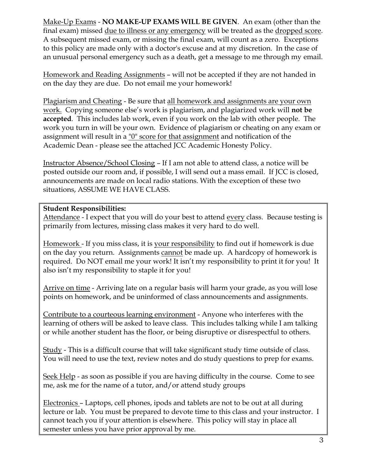Make-Up Exams - **NO MAKE-UP EXAMS WILL BE GIVEN**. An exam (other than the final exam) missed due to illness or any emergency will be treated as the dropped score. A subsequent missed exam, or missing the final exam, will count as a zero. Exceptions to this policy are made only with a doctor's excuse and at my discretion. In the case of an unusual personal emergency such as a death, get a message to me through my email.

Homework and Reading Assignments – will not be accepted if they are not handed in on the day they are due. Do not email me your homework!

Plagiarism and Cheating - Be sure that all homework and assignments are your own work. Copying someone else's work is plagiarism, and plagiarized work will **not be accepted**. This includes lab work, even if you work on the lab with other people. The work you turn in will be your own. Evidence of plagiarism or cheating on any exam or assignment will result in a "0" score for that assignment and notification of the Academic Dean - please see the attached JCC Academic Honesty Policy.

Instructor Absence/School Closing – If I am not able to attend class, a notice will be posted outside our room and, if possible, I will send out a mass email. If JCC is closed, announcements are made on local radio stations. With the exception of these two situations, ASSUME WE HAVE CLASS.

#### **Student Responsibilities:**

Attendance - I expect that you will do your best to attend every class. Because testing is primarily from lectures, missing class makes it very hard to do well.

Homework - If you miss class, it is your responsibility to find out if homework is due on the day you return. Assignments cannot be made up. A hardcopy of homework is required. Do NOT email me your work! It isn't my responsibility to print it for you! It also isn't my responsibility to staple it for you!

Arrive on time - Arriving late on a regular basis will harm your grade, as you will lose points on homework, and be uninformed of class announcements and assignments.

Contribute to a courteous learning environment - Anyone who interferes with the learning of others will be asked to leave class. This includes talking while I am talking or while another student has the floor, or being disruptive or disrespectful to others.

Study - This is a difficult course that will take significant study time outside of class. You will need to use the text, review notes and do study questions to prep for exams.

Seek Help - as soon as possible if you are having difficulty in the course. Come to see me, ask me for the name of a tutor, and/or attend study groups

Electronics – Laptops, cell phones, ipods and tablets are not to be out at all during lecture or lab. You must be prepared to devote time to this class and your instructor. I cannot teach you if your attention is elsewhere. This policy will stay in place all semester unless you have prior approval by me.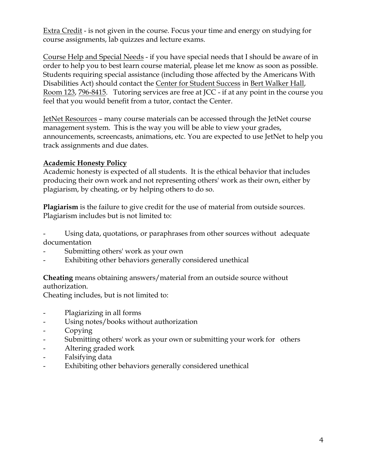Extra Credit - is not given in the course. Focus your time and energy on studying for course assignments, lab quizzes and lecture exams.

Course Help and Special Needs - if you have special needs that I should be aware of in order to help you to best learn course material, please let me know as soon as possible. Students requiring special assistance (including those affected by the Americans With Disabilities Act) should contact the Center for Student Success in Bert Walker Hall, Room 123, 796-8415. Tutoring services are free at JCC - if at any point in the course you feel that you would benefit from a tutor, contact the Center.

JetNet Resources – many course materials can be accessed through the JetNet course management system. This is the way you will be able to view your grades, announcements, screencasts, animations, etc. You are expected to use JetNet to help you track assignments and due dates.

## **Academic Honesty Policy**

Academic honesty is expected of all students. It is the ethical behavior that includes producing their own work and not representing others' work as their own, either by plagiarism, by cheating, or by helping others to do so.

**Plagiarism** is the failure to give credit for the use of material from outside sources. Plagiarism includes but is not limited to:

Using data, quotations, or paraphrases from other sources without adequate documentation

- Submitting others' work as your own
- Exhibiting other behaviors generally considered unethical

**Cheating** means obtaining answers/material from an outside source without authorization.

Cheating includes, but is not limited to:

- Plagiarizing in all forms
- Using notes/books without authorization
- Copying
- Submitting others' work as your own or submitting your work for others
- Altering graded work
- Falsifying data
- Exhibiting other behaviors generally considered unethical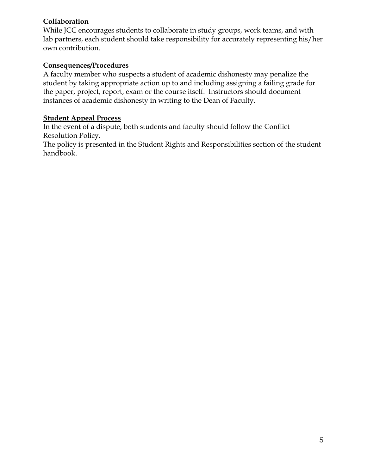## **Collaboration**

While JCC encourages students to collaborate in study groups, work teams, and with lab partners, each student should take responsibility for accurately representing his/her own contribution.

### **Consequences/Procedures**

A faculty member who suspects a student of academic dishonesty may penalize the student by taking appropriate action up to and including assigning a failing grade for the paper, project, report, exam or the course itself. Instructors should document instances of academic dishonesty in writing to the Dean of Faculty.

#### **Student Appeal Process**

In the event of a dispute, both students and faculty should follow the Conflict Resolution Policy.

The policy is presented in the Student Rights and Responsibilities section of the student handbook.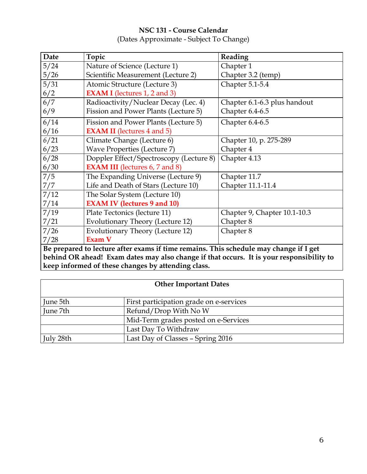## **NSC 131 - Course Calendar** (Dates Approximate - Subject To Change)

| Date                                                                                     | Topic                                   | Reading                      |  |  |
|------------------------------------------------------------------------------------------|-----------------------------------------|------------------------------|--|--|
| 5/24                                                                                     | Nature of Science (Lecture 1)           | Chapter 1                    |  |  |
| 5/26                                                                                     | Scientific Measurement (Lecture 2)      | Chapter 3.2 (temp)           |  |  |
| 5/31                                                                                     | Atomic Structure (Lecture 3)            | Chapter 5.1-5.4              |  |  |
| 6/2                                                                                      | <b>EXAM I</b> (lectures 1, 2 and 3)     |                              |  |  |
| 6/7                                                                                      | Radioactivity/Nuclear Decay (Lec. 4)    | Chapter 6.1-6.3 plus handout |  |  |
| 6/9                                                                                      | Fission and Power Plants (Lecture 5)    | Chapter 6.4-6.5              |  |  |
| 6/14                                                                                     | Fission and Power Plants (Lecture 5)    | Chapter 6.4-6.5              |  |  |
| 6/16                                                                                     | <b>EXAM II</b> (lectures 4 and 5)       |                              |  |  |
| 6/21                                                                                     | Climate Change (Lecture 6)              | Chapter 10, p. 275-289       |  |  |
| 6/23                                                                                     | <b>Wave Properties (Lecture 7)</b>      | Chapter 4                    |  |  |
| 6/28                                                                                     | Doppler Effect/Spectroscopy (Lecture 8) | Chapter 4.13                 |  |  |
| 6/30                                                                                     | <b>EXAM III</b> (lectures 6, 7 and 8)   |                              |  |  |
| 7/5                                                                                      | The Expanding Universe (Lecture 9)      | Chapter 11.7                 |  |  |
| 7/7                                                                                      | Life and Death of Stars (Lecture 10)    | Chapter 11.1-11.4            |  |  |
| 7/12                                                                                     | The Solar System (Lecture 10)           |                              |  |  |
| 7/14                                                                                     | <b>EXAM IV (lectures 9 and 10)</b>      |                              |  |  |
| 7/19                                                                                     | Plate Tectonics (lecture 11)            | Chapter 9, Chapter 10.1-10.3 |  |  |
| 7/21                                                                                     | Evolutionary Theory (Lecture 12)        | Chapter 8                    |  |  |
| 7/26                                                                                     | Evolutionary Theory (Lecture 12)        | Chapter 8                    |  |  |
| 7/28                                                                                     | Exam V                                  |                              |  |  |
| Be prepared to lecture after exams if time remains. This schedule may change if I get    |                                         |                              |  |  |
| behind OR ahead! Exam dates may also change if that occurs. It is your responsibility to |                                         |                              |  |  |
| keep informed of these changes by attending class.                                       |                                         |                              |  |  |

| <b>Other Important Dates</b> |                                         |  |
|------------------------------|-----------------------------------------|--|
| June 5th                     | First participation grade on e-services |  |
| June 7th                     | Refund/Drop With No W                   |  |
|                              | Mid-Term grades posted on e-Services    |  |
|                              | Last Day To Withdraw                    |  |
| July 28th                    | Last Day of Classes - Spring 2016       |  |